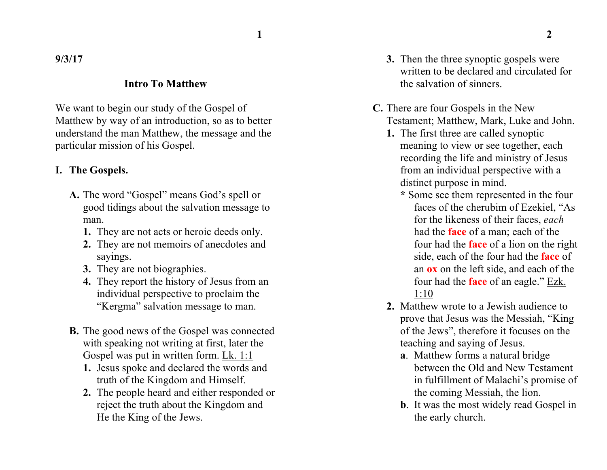**9/3/17**

#### **Intro To Matthew**

We want to begin our study of the Gospel of Matthew by way of an introduction, so as to better understand the man Matthew, the message and the particular mission of his Gospel.

#### **I. The Gospels.**

- **A.** The word "Gospel" means God's spell or good tidings about the salvation message to man.
	- **1.** They are not acts or heroic deeds only.
	- **2.** They are not memoirs of anecdotes and sayings.
	- **3.** They are not biographies.
	- **4.** They report the history of Jesus from an individual perspective to proclaim the "Kergma" salvation message to man.
- **B.** The good news of the Gospel was connected with speaking not writing at first, later the Gospel was put in written form. Lk. 1:1
	- **1.** Jesus spoke and declared the words and truth of the Kingdom and Himself.
	- **2.** The people heard and either responded or reject the truth about the Kingdom and He the King of the Jews.
- **3.** Then the three synoptic gospels were written to be declared and circulated for the salvation of sinners.
- **C.** There are four Gospels in the New Testament; Matthew, Mark, Luke and John.
	- **1.** The first three are called synoptic meaning to view or see together, each recording the life and ministry of Jesus from an individual perspective with a distinct purpose in mind.
		- **\*** Some see them represented in the four faces of the cherubim of Ezekiel, "As for the likeness of their faces, *each* had the **face** of a man; each of the four had the **face** of a lion on the right side, each of the four had the **face** of an **ox** on the left side, and each of the four had the **face** of an eagle." Ezk.  $1:10$
	- **2.** Matthew wrote to a Jewish audience to prove that Jesus was the Messiah, "King of the Jews", therefore it focuses on the teaching and saying of Jesus.
		- **a**. Matthew forms a natural bridge between the Old and New Testament in fulfillment of Malachi's promise of the coming Messiah, the lion.
		- **b**. It was the most widely read Gospel in the early church.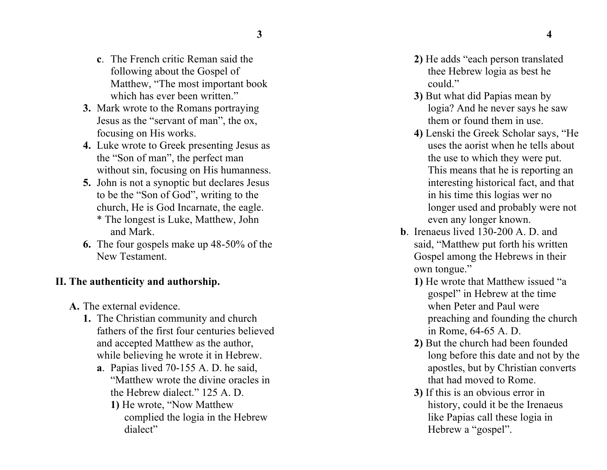- **c** . The French critic Reman said the following about the Gospel of Matthew, "The most important book which has ever been written."
- **3.** Mark wrote to the Romans portraying Jesus as the "servant of man", the ox, focusing on His works.
- **4.** Luke wrote to Greek presenting Jesus as the "Son of man", the perfect man without sin, focusing on His humanness.
- **5.** John is not a synoptic but declares Jesus to be the "Son of God", writing to the church, He is God Incarnate, the eagle . \* The longest is Luke, Matthew, John and Mark.
- **6.** The four gospels make up 48 -50% of the New Testament.

#### **II. The authenticity and authorship .**

- **A.** The external evidence .
	- **1.** The Christian community and church fathers of the first four centuries believed and accepted Matthew as the author, while believing he wrote it in Hebrew .
		- **a** . Papias lived 70 -155 A. D. he said, "Matthew wrote the divine oracles in the Hebrew dialect." 125 A. D. **1)** He wrote, "Now Matthew complied the logia in the Hebrew dialect"
- **2)** He adds "each person translated thee Hebrew logia as best he could"
- **3)** But what did Papias mean by logia? And he never says he saw them or found them in use.
- **4)** Lenski the Greek Scholar says, "He uses the aorist when he tells about the use to which they were put. This means that he is reporting an interesting historical fact, and that in his time this logias wer no longer used and probably were not even any longer known.
- **b**. Irenaeus lived 130-200 A. D. and said, "Matthew put forth his written Gospel among the Hebrews in their own tongue."
	- **1)** He wrote that Matthew issued "a gospel" in Hebrew at the time when Peter and Paul were preaching and founding the church in Rome, 64 -65 A. D.
	- **2 )** But the church had been founded long before this date and not by the apostles, but by Christian converts that had moved to Rome.
	- **3 )** If this is an obvious error in history, could it be the Irenaeus like Papias call these logia in Hebrew a "gospel".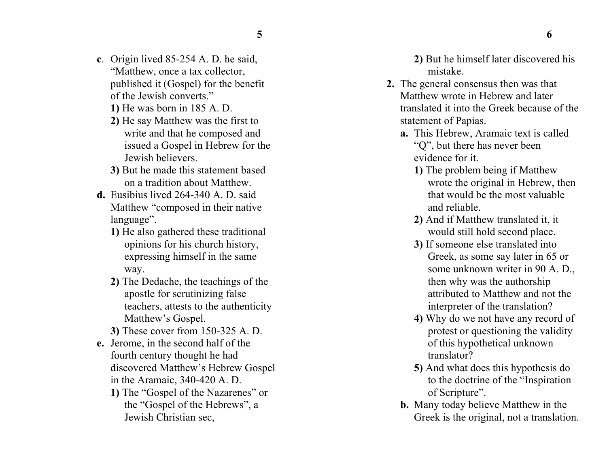- **c**. Origin lived 85-254 A. D. he said, "Matthew, once a tax collector, published it (Gospel) for the benefit of the Jewish converts."
	- **1)** He was born in 185 A. D.
	- **2)** He say Matthew was the first to write and that he composed and issued a Gospel in Hebrew for the Jewish believers.
	- **3)** But he made this statement based on a tradition about Matthew.
- **d.** Eusibius lived 264-340 A. D. said Matthew "composed in their native language".
	- **1)** He also gathered these traditional opinions for his church history, expressing himself in the same way.
	- **2)** The Dedache, the teachings of the apostle for scrutinizing false teachers, attests to the authenticity Matthew's Gospel.
	- **3)** These cover from 150-325 A. D.
- **e.** Jerome, in the second half of the fourth century thought he had discovered Matthew's Hebrew Gospel in the Aramaic, 340-420 A. D.
	- **1)** The "Gospel of the Nazarenes" or the "Gospel of the Hebrews", a Jewish Christian sec,

**2)** But he himself later discovered his mistake.

- **2.** The general consensus then was that Matthew wrote in Hebrew and later translated it into the Greek because of the statement of Papias.
	- **a.** This Hebrew, Aramaic text is called "Q", but there has never been evidence for it.
		- **1)** The problem being if Matthew wrote the original in Hebrew, then that would be the most valuable and reliable.
		- **2)** And if Matthew translated it, it would still hold second place.
		- **3)** If someone else translated into Greek, as some say later in 65 or some unknown writer in 90 A. D., then why was the authorship attributed to Matthew and not the interpreter of the translation?
		- **4)** Why do we not have any record of protest or questioning the validity of this hypothetical unknown translator?
		- **5)** And what does this hypothesis do to the doctrine of the "Inspiration of Scripture".
	- **b.** Many today believe Matthew in the Greek is the original, not a translation.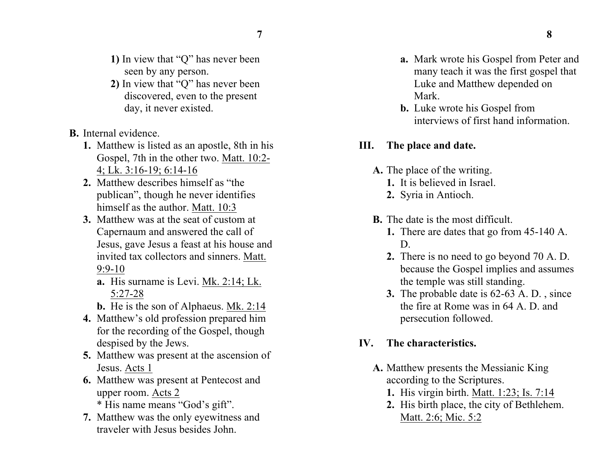- **1)** In view that "Q" has never been seen by any person.
- **2)** In view that "Q" has never been discovered, even to the present day, it never existed.
- **B.** Internal evidence.
	- **1.** Matthew is listed as an apostle, 8th in his Gospel, 7th in the other two. Matt. 10:2- 4; Lk. 3:16-19; 6:14-16
	- **2.** Matthew describes himself as "the publican", though he never identifies himself as the author. Matt. 10:3
	- **3.** Matthew was at the seat of custom at Capernaum and answered the call of Jesus, gave Jesus a feast at his house and invited tax collectors and sinners. Matt. 9:9-10
		- **a.** His surname is Levi. Mk. 2:14; Lk. 5:27-28
		- **b.** He is the son of Alphaeus. Mk. 2:14
	- **4.** Matthew's old profession prepared him for the recording of the Gospel, though despised by the Jews.
	- **5.** Matthew was present at the ascension of Jesus. Acts 1
	- **6.** Matthew was present at Pentecost and upper room. Acts 2 \* His name means "God's gift".
	- **7.** Matthew was the only eyewitness and traveler with Jesus besides John.
- **a.** Mark wrote his Gospel from Peter and many teach it was the first gospel that Luke and Matthew depended on Mark.
- **b.** Luke wrote his Gospel from interviews of first hand information.

#### **III. The place and date.**

- **A.** The place of the writing.
	- **1.** It is believed in Israel.
	- **2.** Syria in Antioch.
- **B.** The date is the most difficult.
	- **1.** There are dates that go from 45-140 A. D.
	- **2.** There is no need to go beyond 70 A. D. because the Gospel implies and assumes the temple was still standing.
	- **3.** The probable date is 62-63 A. D. , since the fire at Rome was in 64 A. D. and persecution followed.

# **IV. The characteristics.**

- **A.** Matthew presents the Messianic King according to the Scriptures.
	- **1.** His virgin birth. Matt. 1:23; Is. 7:14
	- **2.** His birth place, the city of Bethlehem. Matt. 2:6; Mic. 5:2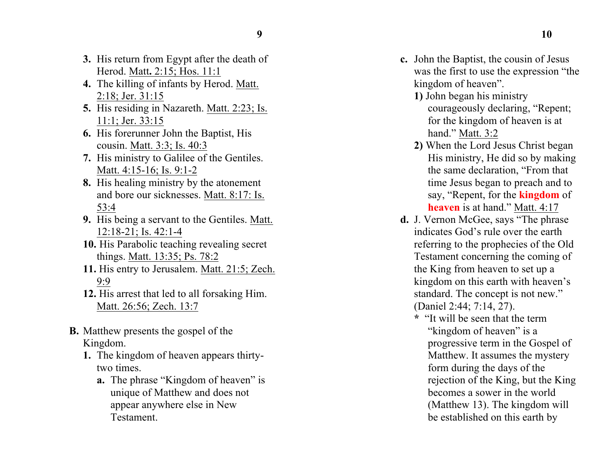- **3.** His return from Egypt after the death of Herod. Matt**.** 2:15; Hos. 11:1
- 4. The killing of infants by Herod. Matt. 2:18; Jer. 31:15
- **5.** His residing in Nazareth. Matt. 2:23; Is. 11:1; Jer. 33:15
- **6.** His forerunner John the Baptist, His cousin. Matt. 3:3; Is. 40:3
- **7.** His ministr y to Galilee of the Gentiles. Matt. 4:15-16; Is. 9:1-2
- **8.** His healing ministry by the atonement and bore our sicknesses. Matt. 8:17: Is. 53:4
- **9.** His being a servant to the Gentiles. Matt.  $12:18-21$ ; Is. 42:1-4
- **10.** His Parabolic teaching revealing secret things. Matt. 13:35; Ps. 78:2
- **11.** His entry to Jerusalem. Matt. 21:5; Zech. 9:9
- **12.** His arrest that led to all forsaking Him. Matt. 26:56; Zech. 13:7
- **B.** Matthew presents the gospel of the Kingdom.
	- **1.** The kingdom of heaven appears thirty two times .
		- **a.** The phrase "K ingdom of heaven" is unique of Matthew and does not appear anywhere else in New Testament .
- **c.** John the Baptist, the cousin of Jesus was the first to use the expression "the kingdom of heaven".
	- **1)** John began his ministry courageously declaring, "Repent; for the kingdom of heaven is at hand." Matt. 3:2
	- **2)** When the Lord Jesus Christ began His ministry, He did so by making the same declaration, "From that time Jesus began to preach and to say, "Repent, for the **kingdom** of **heaven** is at hand." Matt. 4:17
- **d .** J. Vernon McGee, says "The phrase indicates God's rule over the earth referring to the prophecies of the Old Testament concerning the coming of the King from heaven to set up a kingdom on this earth with heaven's standard. The concept is not new." (Daniel 2:44; 7:14, 27).
	- **\*** "It will be seen that the term "kingdom of heaven" is a progressive term in the Gospel of Matthew. It assumes the mystery form during the days of the rejection of the King, but the King becomes a sower in the world (Matthew 13). The kingdom will be established on this earth by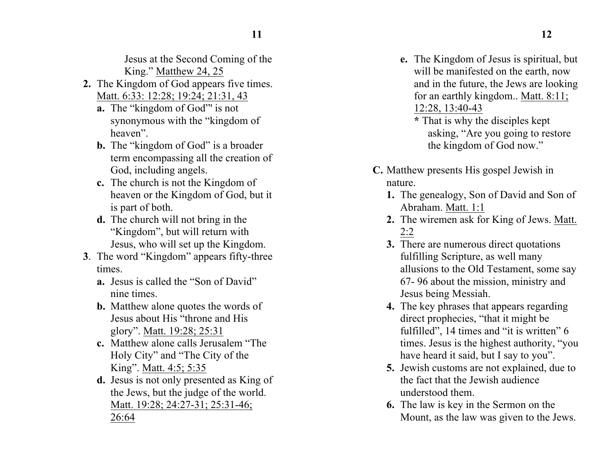Jesus at the Second Coming of the King." Matthew 24, 25

- **2.** The Kingdom of God appears five times. Matt. 6:33: 12:28; 19:24; 21:31, 43
	- **a.** The "kingdom of God"' is not synonymous with the "kingdom of heaven".
	- **b.** The "kingdom of God" is a broader term encompassing all the creation of God, including angels.
	- **c.** The church is not the Kingdom of heaven or the Kingdom of God, but it is part of both.
	- **d.** The church will not bring in the "Kingdom", but will return with Jesus, who will set up the Kingdom.
- **3**. The word "Kingdom" appears fifty-three times.
	- **a.** Jesus is called the "Son of David" nine times.
	- **b.** Matthew alone quotes the words of Jesus about His "throne and His glory". Matt. 19:28; 25:31
	- **c.** Matthew alone calls Jerusalem "The Holy City" and "The City of the King". Matt. 4:5; 5:35
	- **d.** Jesus is not only presented as King of the Jews, but the judge of the world. Matt. 19:28; 24:27-31; 25:31-46; 26:64

**e.** The Kingdom of Jesus is spiritual, but will be manifested on the earth, now and in the future, the Jews are looking for an earthly kingdom.. Matt. 8:11; 12:28, 13:40-43

**\*** That is why the disciples kept asking, "Are you going to restore the kingdom of God now."

- **C.** Matthew presents His gospel Jewish in nature.
	- **1.** The genealogy, Son of David and Son of Abraham. Matt. 1:1
	- **2.** The wiremen ask for King of Jews. Matt. 2:2
	- **3.** There are numerous direct quotations fulfilling Scripture, as well many allusions to the Old Testament, some say 67- 96 about the mission, ministry and Jesus being Messiah.
	- **4.** The key phrases that appears regarding direct prophecies, "that it might be fulfilled", 14 times and "it is written" 6 times. Jesus is the highest authority, "you have heard it said, but I say to you".
	- **5.** Jewish customs are not explained, due to the fact that the Jewish audience understood them.
	- **6.** The law is key in the Sermon on the Mount, as the law was given to the Jews.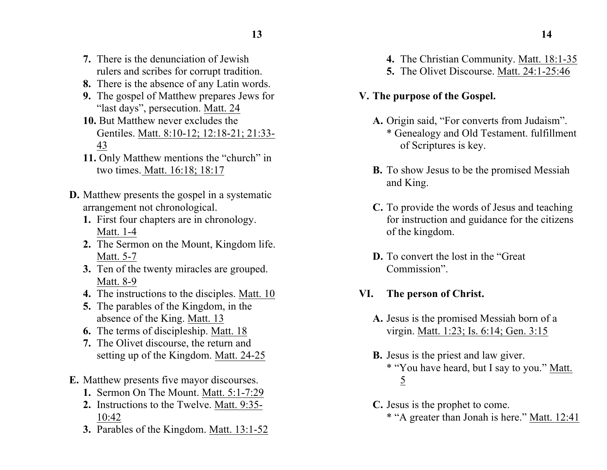- **7.** There is the denunciation of Jewish rulers and scribes for corrupt tradition.
- **8.** There is the absence of any Latin words.
- **9.** The gospel of Matthew prepares Jews for "last days", persecution. Matt. 24
- **10.** But Matthew never excludes the Gentiles. Matt. 8:10-12; 12:18-21; 21:33- 43
- **11.** Only Matthew mentions the "church" in two times. Matt. 16:18; 18:17
- **D.** Matthew presents the gospel in a systematic arrangement not chronological.
	- **1.** First four chapters are in chronology. Matt. 1-4
	- **2.** The Sermon on the Mount, Kingdom life. Matt. 5-7
	- **3.** Ten of the twenty miracles are grouped. Matt. 8-9
	- **4.** The instructions to the disciples. Matt. 10
	- **5.** The parables of the Kingdom, in the absence of the King. Matt. 13
	- **6.** The terms of discipleship. Matt. 18
	- **7.** The Olivet discourse, the return and setting up of the Kingdom. Matt. 24-25
- **E.** Matthew presents five mayor discourses.
	- **1.** Sermon On The Mount. Matt. 5:1-7:29
	- **2.** Instructions to the Twelve. Matt. 9:35- 10:42
	- **3.** Parables of the Kingdom. Matt. 13:1-52
- 
- **4.** The Christian Community. Matt. 18:1-35
- **5.** The Olivet Discourse. Matt. 24:1-25:46
- **V. The purpose of the Gospel.**
	- **A.** Origin said, "For converts from Judaism". \* Genealogy and Old Testament. fulfillment of Scriptures is key.
	- **B.** To show Jesus to be the promised Messiah and King.
	- **C.** To provide the words of Jesus and teaching for instruction and guidance for the citizens of the kingdom.
	- **D.** To convert the lost in the "Great Commission".
- **VI. The person of Christ.**
	- **A.** Jesus is the promised Messiah born of a virgin. Matt. 1:23; Is. 6:14; Gen. 3:15
	- **B.** Jesus is the priest and law giver. \* "You have heard, but I say to you." Matt. 5
	- **C.** Jesus is the prophet to come.
		- \* "A greater than Jonah is here." Matt. 12:41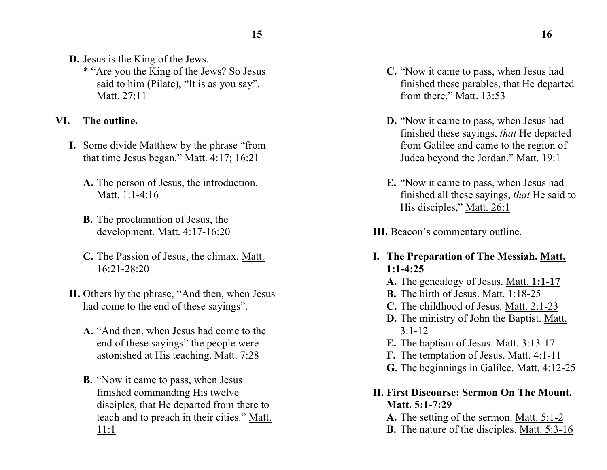- **D.** Jesus is the King of the Jews.
	- \* "Are you the King of the Jews? So Jesus said to him (Pilate), "It is as you say". Matt. 27:11

## **VI. The outline.**

- **I.** Some divide Matthew by the phrase "from that time Jesus began." Matt. 4:17; 16:21
	- **A.** The person of Jesus, the introduction. Matt. 1:1-4:16
	- **B.** The proclamation of Jesus, the development. Matt. 4:17-16:20
	- **C.** The Passion of Jesus, the climax. Matt. 16:21-28:20
- **II.** Others by the phrase, "And then, when Jesus had come to the end of these sayings".
	- **A.** "And then, when Jesus had come to the end of these sayings" the people were astonished at His teaching. Matt. 7:28
	- **B.** "Now it came to pass, when Jesus finished commanding His twelve disciples, that He departed from there to teach and to preach in their cities." Matt. 11:1
- **C.** "Now it came to pass, when Jesus had finished these parables, that He departed from there." Matt. 13:53
- **D.** "Now it came to pass, when Jesus had finished these sayings, *that* He departed from Galilee and came to the region of Judea beyond the Jordan." Matt. 19:1
- **E.** "Now it came to pass, when Jesus had finished all these sayings, *that* He said to His disciples," Matt. 26:1
- **III.** Beacon's commentary outline.
- **I. The Preparation of The Messiah. Matt. 1:1-4:25**
	- **A.** The genealogy of Jesus. Matt. **1:1-17**
	- **B.** The birth of Jesus. Matt. 1:18-25
	- **C.** The childhood of Jesus. Matt. 2:1-23
	- **D.** The ministry of John the Baptist. Matt. 3:1-12
	- **E.** The baptism of Jesus. Matt. 3:13-17
	- **F.** The temptation of Jesus. Matt. 4:1-11
	- **G.** The beginnings in Galilee. Matt. 4:12-25

# **II. First Discourse: Sermon On The Mount. Matt. 5:1-7:29**

- **A.** The setting of the sermon. Matt. 5:1-2
- **B.** The nature of the disciples. Matt. 5:3-16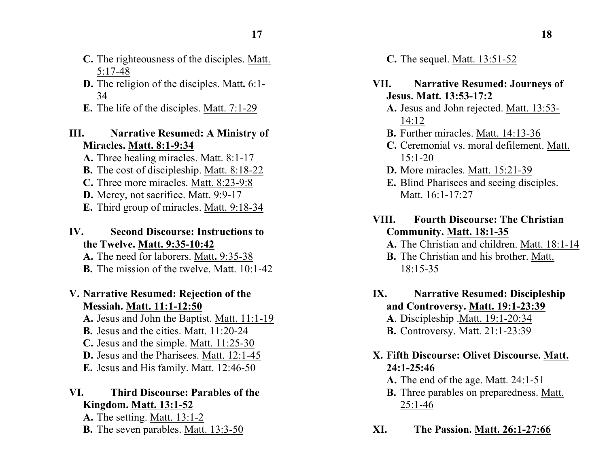- **C.** The righteousness of the disciples. Matt. 5:17-48
- **D.** The religion of the disciples. Matt**.** 6:1- 34
- **E.** The life of the disciples. Matt. 7:1-29

#### **III. Narrative Resumed: A Ministry of Miracles. Matt. 8:1-9:34**

- **A.** Three healing miracles. Matt. 8:1-17
- **B.** The cost of discipleship. Matt. 8:18-22
- **C.** Three more miracles. Matt. 8:23-9:8
- **D.** Mercy, not sacrifice. Matt. 9:9-17
- **E.** Third group of miracles. Matt. 9:18-34

### **IV. Second Discourse: Instructions to the Twelve. Matt. 9:35-10:42**

**A.** The need for laborers. Matt**.** 9:35-38 **B.** The mission of the twelve. Matt. 10:1-42

# **V. Narrative Resumed: Rejection of the Messiah. Matt. 11:1-12:50**

**A.** Jesus and John the Baptist. Matt. 11:1-19

- **B.** Jesus and the cities. Matt. 11:20-24
- **C.** Jesus and the simple. Matt. 11:25-30
- **D.** Jesus and the Pharisees. Matt. 12:1-45
- **E.** Jesus and His family. Matt. 12:46-50

## **VI. Third Discourse: Parables of the Kingdom. Matt. 13:1-52**

**A.** The setting. Matt. 13:1-2 **B.** The seven parables. Matt. 13:3-50 **C.** The sequel. Matt. 13:51-52

### **VII. Narrative Resumed: Journeys of Jesus. Matt. 13:53-17:2**

- **A.** Jesus and John rejected. Matt. 13:53- 14:12
- **B.** Further miracles. Matt. 14:13-36
- **C.** Ceremonial vs. moral defilement. Matt. 15:1-20
- **D.** More miracles. Matt. 15:21-39
- **E.** Blind Pharisees and seeing disciples. Matt. 16:1-17:27

## **VIII. Fourth Discourse: The Christian Community. Matt. 18:1-35**

**A.** The Christian and children. Matt. 18:1-14

- **B.** The Christian and his brother. Matt. 18:15-35
- **IX. Narrative Resumed: Discipleship and Controversy. Matt. 19:1-23:39 A**. Discipleship .Matt. 19:1-20:34
	- **B.** Controversy. Matt. 21:1-23:39

# **X. Fifth Discourse: Olivet Discourse. Matt. 24:1-25:46**

- **A.** The end of the age. Matt. 24:1-51
- **B.** Three parables on preparedness. Matt. 25:1-46
- **XI. The Passion. Matt. 26:1-27:66**